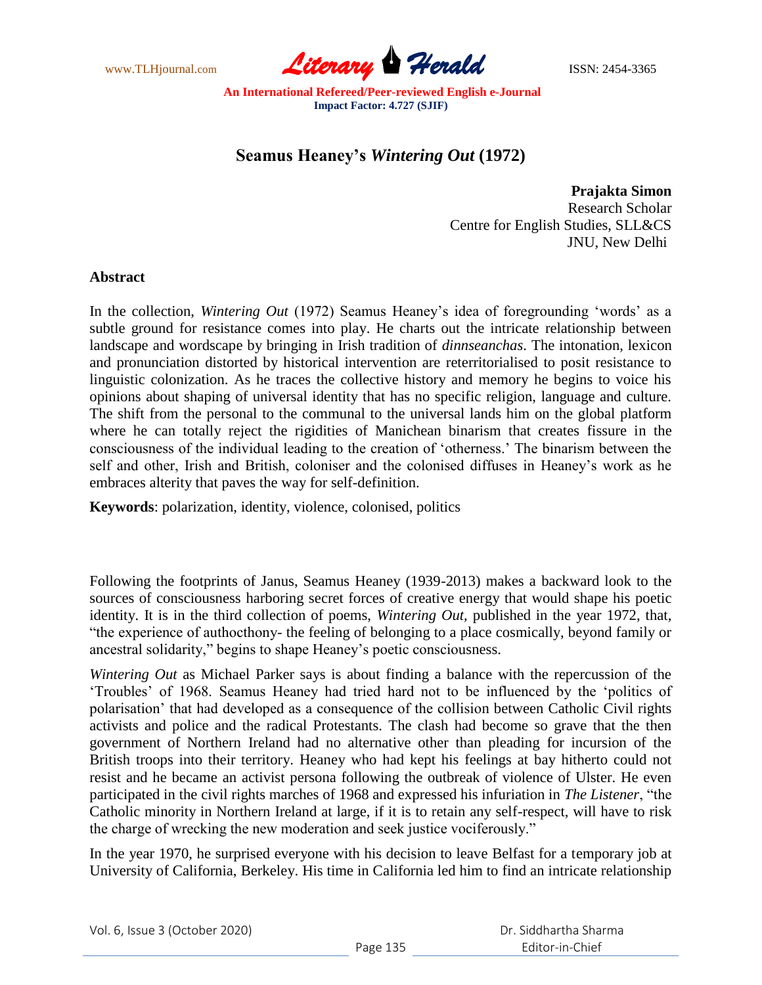

## **Seamus Heaney's** *Wintering Out* **(1972)**

**Prajakta Simon** Research Scholar Centre for English Studies, SLL&CS JNU, New Delhi

## **Abstract**

In the collection, *Wintering Out* (1972) Seamus Heaney"s idea of foregrounding "words" as a subtle ground for resistance comes into play. He charts out the intricate relationship between landscape and wordscape by bringing in Irish tradition of *dinnseanchas*. The intonation, lexicon and pronunciation distorted by historical intervention are reterritorialised to posit resistance to linguistic colonization. As he traces the collective history and memory he begins to voice his opinions about shaping of universal identity that has no specific religion, language and culture. The shift from the personal to the communal to the universal lands him on the global platform where he can totally reject the rigidities of Manichean binarism that creates fissure in the consciousness of the individual leading to the creation of "otherness." The binarism between the self and other, Irish and British, coloniser and the colonised diffuses in Heaney"s work as he embraces alterity that paves the way for self-definition.

**Keywords**: polarization, identity, violence, colonised, politics

Following the footprints of Janus, Seamus Heaney (1939-2013) makes a backward look to the sources of consciousness harboring secret forces of creative energy that would shape his poetic identity. It is in the third collection of poems, *Wintering Out,* published in the year 1972, that, "the experience of authocthony- the feeling of belonging to a place cosmically, beyond family or ancestral solidarity," begins to shape Heaney"s poetic consciousness.

*Wintering Out* as Michael Parker says is about finding a balance with the repercussion of the "Troubles" of 1968. Seamus Heaney had tried hard not to be influenced by the "politics of polarisation" that had developed as a consequence of the collision between Catholic Civil rights activists and police and the radical Protestants. The clash had become so grave that the then government of Northern Ireland had no alternative other than pleading for incursion of the British troops into their territory. Heaney who had kept his feelings at bay hitherto could not resist and he became an activist persona following the outbreak of violence of Ulster. He even participated in the civil rights marches of 1968 and expressed his infuriation in *The Listener*, "the Catholic minority in Northern Ireland at large, if it is to retain any self-respect, will have to risk the charge of wrecking the new moderation and seek justice vociferously."

In the year 1970, he surprised everyone with his decision to leave Belfast for a temporary job at University of California, Berkeley. His time in California led him to find an intricate relationship

| Vol. 6, Issue 3 (October 2020) |  |
|--------------------------------|--|
|--------------------------------|--|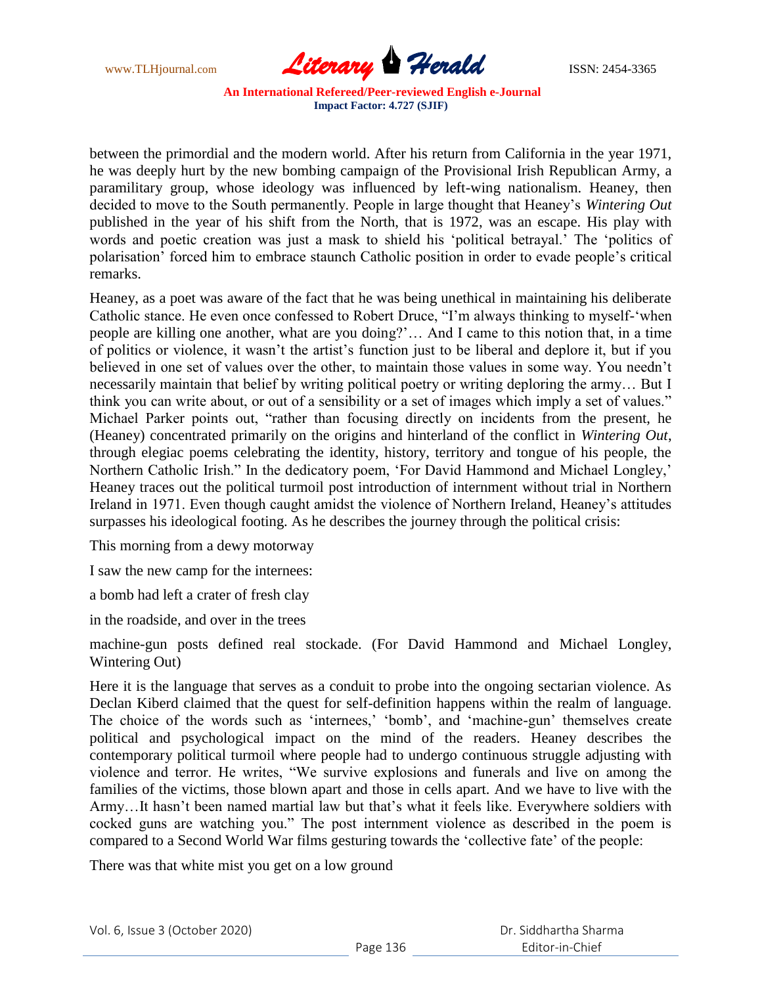

between the primordial and the modern world. After his return from California in the year 1971, he was deeply hurt by the new bombing campaign of the Provisional Irish Republican Army, a paramilitary group, whose ideology was influenced by left-wing nationalism. Heaney, then decided to move to the South permanently. People in large thought that Heaney"s *Wintering Out* published in the year of his shift from the North, that is 1972, was an escape. His play with words and poetic creation was just a mask to shield his "political betrayal." The "politics of polarisation" forced him to embrace staunch Catholic position in order to evade people"s critical remarks.

Heaney, as a poet was aware of the fact that he was being unethical in maintaining his deliberate Catholic stance. He even once confessed to Robert Druce, "I"m always thinking to myself-"when people are killing one another, what are you doing?"… And I came to this notion that, in a time of politics or violence, it wasn"t the artist"s function just to be liberal and deplore it, but if you believed in one set of values over the other, to maintain those values in some way. You needn"t necessarily maintain that belief by writing political poetry or writing deploring the army… But I think you can write about, or out of a sensibility or a set of images which imply a set of values." Michael Parker points out, "rather than focusing directly on incidents from the present, he (Heaney) concentrated primarily on the origins and hinterland of the conflict in *Wintering Out*, through elegiac poems celebrating the identity, history, territory and tongue of his people, the Northern Catholic Irish." In the dedicatory poem, "For David Hammond and Michael Longley," Heaney traces out the political turmoil post introduction of internment without trial in Northern Ireland in 1971. Even though caught amidst the violence of Northern Ireland, Heaney"s attitudes surpasses his ideological footing. As he describes the journey through the political crisis:

This morning from a dewy motorway

I saw the new camp for the internees:

a bomb had left a crater of fresh clay

in the roadside, and over in the trees

machine-gun posts defined real stockade. (For David Hammond and Michael Longley, Wintering Out)

Here it is the language that serves as a conduit to probe into the ongoing sectarian violence. As Declan Kiberd claimed that the quest for self-definition happens within the realm of language. The choice of the words such as 'internees,' 'bomb', and 'machine-gun' themselves create political and psychological impact on the mind of the readers. Heaney describes the contemporary political turmoil where people had to undergo continuous struggle adjusting with violence and terror. He writes, "We survive explosions and funerals and live on among the families of the victims, those blown apart and those in cells apart. And we have to live with the Army...It hasn't been named martial law but that's what it feels like. Everywhere soldiers with cocked guns are watching you." The post internment violence as described in the poem is compared to a Second World War films gesturing towards the "collective fate" of the people:

There was that white mist you get on a low ground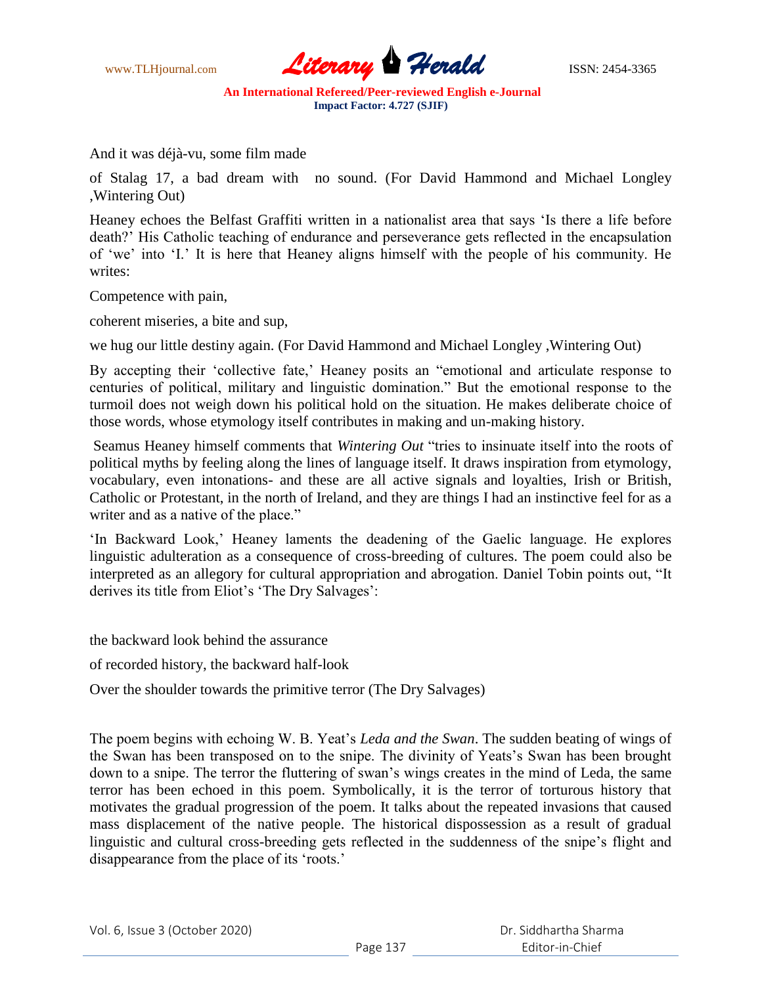

And it was déjà-vu, some film made

of Stalag 17, a bad dream with no sound. (For David Hammond and Michael Longley ,Wintering Out)

Heaney echoes the Belfast Graffiti written in a nationalist area that says "Is there a life before death?" His Catholic teaching of endurance and perseverance gets reflected in the encapsulation of "we" into "I." It is here that Heaney aligns himself with the people of his community. He writes:

Competence with pain,

coherent miseries, a bite and sup,

we hug our little destiny again. (For David Hammond and Michael Longley ,Wintering Out)

By accepting their 'collective fate,' Heaney posits an "emotional and articulate response to centuries of political, military and linguistic domination." But the emotional response to the turmoil does not weigh down his political hold on the situation. He makes deliberate choice of those words, whose etymology itself contributes in making and un-making history.

Seamus Heaney himself comments that *Wintering Out* "tries to insinuate itself into the roots of political myths by feeling along the lines of language itself. It draws inspiration from etymology, vocabulary, even intonations- and these are all active signals and loyalties, Irish or British, Catholic or Protestant, in the north of Ireland, and they are things I had an instinctive feel for as a writer and as a native of the place."

"In Backward Look," Heaney laments the deadening of the Gaelic language. He explores linguistic adulteration as a consequence of cross-breeding of cultures. The poem could also be interpreted as an allegory for cultural appropriation and abrogation. Daniel Tobin points out, "It derives its title from Eliot's 'The Dry Salvages':

the backward look behind the assurance

of recorded history, the backward half-look

Over the shoulder towards the primitive terror (The Dry Salvages)

The poem begins with echoing W. B. Yeat"s *Leda and the Swan*. The sudden beating of wings of the Swan has been transposed on to the snipe. The divinity of Yeats's Swan has been brought down to a snipe. The terror the fluttering of swan"s wings creates in the mind of Leda, the same terror has been echoed in this poem. Symbolically, it is the terror of torturous history that motivates the gradual progression of the poem. It talks about the repeated invasions that caused mass displacement of the native people. The historical dispossession as a result of gradual linguistic and cultural cross-breeding gets reflected in the suddenness of the snipe"s flight and disappearance from the place of its 'roots.'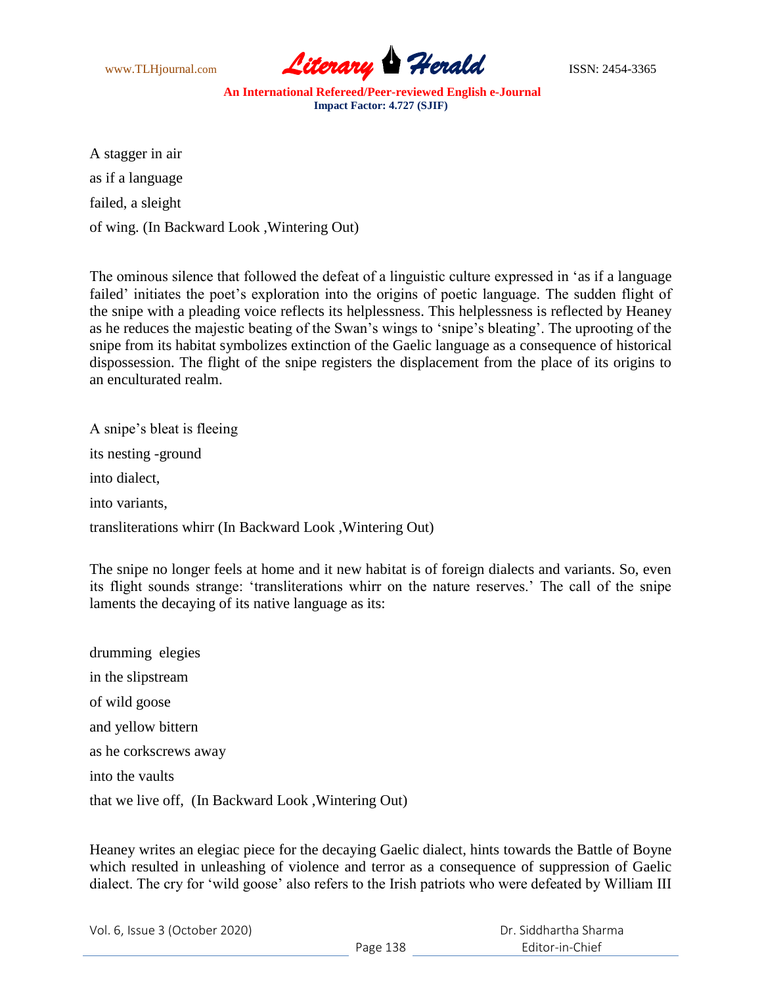

A stagger in air as if a language failed, a sleight of wing. (In Backward Look ,Wintering Out)

The ominous silence that followed the defeat of a linguistic culture expressed in "as if a language failed' initiates the poet's exploration into the origins of poetic language. The sudden flight of the snipe with a pleading voice reflects its helplessness. This helplessness is reflected by Heaney as he reduces the majestic beating of the Swan"s wings to "snipe"s bleating". The uprooting of the snipe from its habitat symbolizes extinction of the Gaelic language as a consequence of historical dispossession. The flight of the snipe registers the displacement from the place of its origins to an enculturated realm.

A snipe"s bleat is fleeing its nesting -ground into dialect, into variants, transliterations whirr (In Backward Look ,Wintering Out)

The snipe no longer feels at home and it new habitat is of foreign dialects and variants. So, even its flight sounds strange: "transliterations whirr on the nature reserves." The call of the snipe laments the decaying of its native language as its:

drumming elegies in the slipstream of wild goose and yellow bittern as he corkscrews away into the vaults that we live off, (In Backward Look ,Wintering Out)

Heaney writes an elegiac piece for the decaying Gaelic dialect, hints towards the Battle of Boyne which resulted in unleashing of violence and terror as a consequence of suppression of Gaelic dialect. The cry for "wild goose" also refers to the Irish patriots who were defeated by William III

Vol. 6, Issue 3 (October 2020)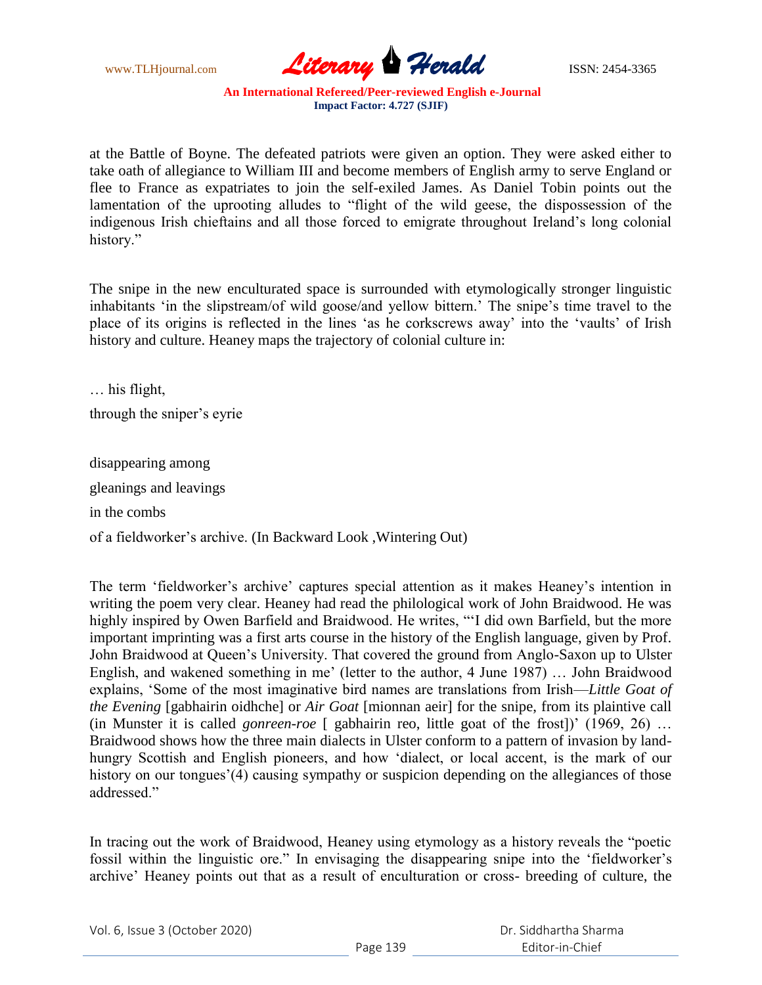

at the Battle of Boyne. The defeated patriots were given an option. They were asked either to take oath of allegiance to William III and become members of English army to serve England or flee to France as expatriates to join the self-exiled James. As Daniel Tobin points out the lamentation of the uprooting alludes to "flight of the wild geese, the dispossession of the indigenous Irish chieftains and all those forced to emigrate throughout Ireland"s long colonial history."

The snipe in the new enculturated space is surrounded with etymologically stronger linguistic inhabitants 'in the slipstream/of wild goose/and yellow bittern.' The snipe's time travel to the place of its origins is reflected in the lines "as he corkscrews away" into the "vaults" of Irish history and culture. Heaney maps the trajectory of colonial culture in:

… his flight, through the sniper"s eyrie

disappearing among gleanings and leavings in the combs

of a fieldworker"s archive. (In Backward Look ,Wintering Out)

The term 'fieldworker's archive' captures special attention as it makes Heaney's intention in writing the poem very clear. Heaney had read the philological work of John Braidwood. He was highly inspired by Owen Barfield and Braidwood. He writes, ""I did own Barfield, but the more important imprinting was a first arts course in the history of the English language, given by Prof. John Braidwood at Queen"s University. That covered the ground from Anglo-Saxon up to Ulster English, and wakened something in me' (letter to the author, 4 June 1987) ... John Braidwood explains, "Some of the most imaginative bird names are translations from Irish—*Little Goat of the Evening* [gabhairin oidhche] or *Air Goat* [mionnan aeir] for the snipe, from its plaintive call (in Munster it is called *gonreen-roe* [ gabhairin reo, little goat of the frost])" (1969, 26) … Braidwood shows how the three main dialects in Ulster conform to a pattern of invasion by landhungry Scottish and English pioneers, and how "dialect, or local accent, is the mark of our history on our tongues'(4) causing sympathy or suspicion depending on the allegiances of those addressed."

In tracing out the work of Braidwood, Heaney using etymology as a history reveals the "poetic fossil within the linguistic ore." In envisaging the disappearing snipe into the 'fieldworker's archive" Heaney points out that as a result of enculturation or cross- breeding of culture, the

|  | Vol. 6, Issue 3 (October 2020) |
|--|--------------------------------|
|--|--------------------------------|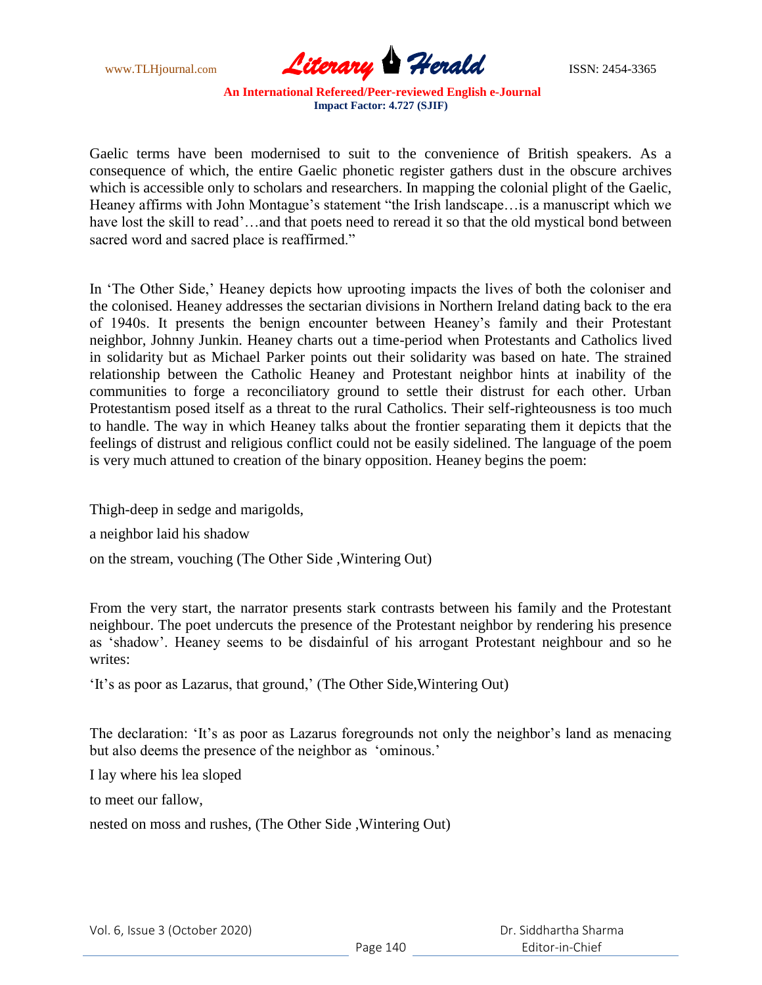

Gaelic terms have been modernised to suit to the convenience of British speakers. As a consequence of which, the entire Gaelic phonetic register gathers dust in the obscure archives which is accessible only to scholars and researchers. In mapping the colonial plight of the Gaelic, Heaney affirms with John Montague's statement "the Irish landscape... is a manuscript which we have lost the skill to read'...and that poets need to reread it so that the old mystical bond between sacred word and sacred place is reaffirmed."

In 'The Other Side,' Heaney depicts how uprooting impacts the lives of both the coloniser and the colonised. Heaney addresses the sectarian divisions in Northern Ireland dating back to the era of 1940s. It presents the benign encounter between Heaney"s family and their Protestant neighbor, Johnny Junkin. Heaney charts out a time-period when Protestants and Catholics lived in solidarity but as Michael Parker points out their solidarity was based on hate. The strained relationship between the Catholic Heaney and Protestant neighbor hints at inability of the communities to forge a reconciliatory ground to settle their distrust for each other. Urban Protestantism posed itself as a threat to the rural Catholics. Their self-righteousness is too much to handle. The way in which Heaney talks about the frontier separating them it depicts that the feelings of distrust and religious conflict could not be easily sidelined. The language of the poem is very much attuned to creation of the binary opposition. Heaney begins the poem:

Thigh-deep in sedge and marigolds,

a neighbor laid his shadow

on the stream, vouching (The Other Side ,Wintering Out)

From the very start, the narrator presents stark contrasts between his family and the Protestant neighbour. The poet undercuts the presence of the Protestant neighbor by rendering his presence as "shadow". Heaney seems to be disdainful of his arrogant Protestant neighbour and so he writes:

'It's as poor as Lazarus, that ground,' (The Other Side, Wintering Out)

The declaration: 'It's as poor as Lazarus foregrounds not only the neighbor's land as menacing but also deems the presence of the neighbor as 'ominous.'

I lay where his lea sloped

to meet our fallow,

nested on moss and rushes, (The Other Side ,Wintering Out)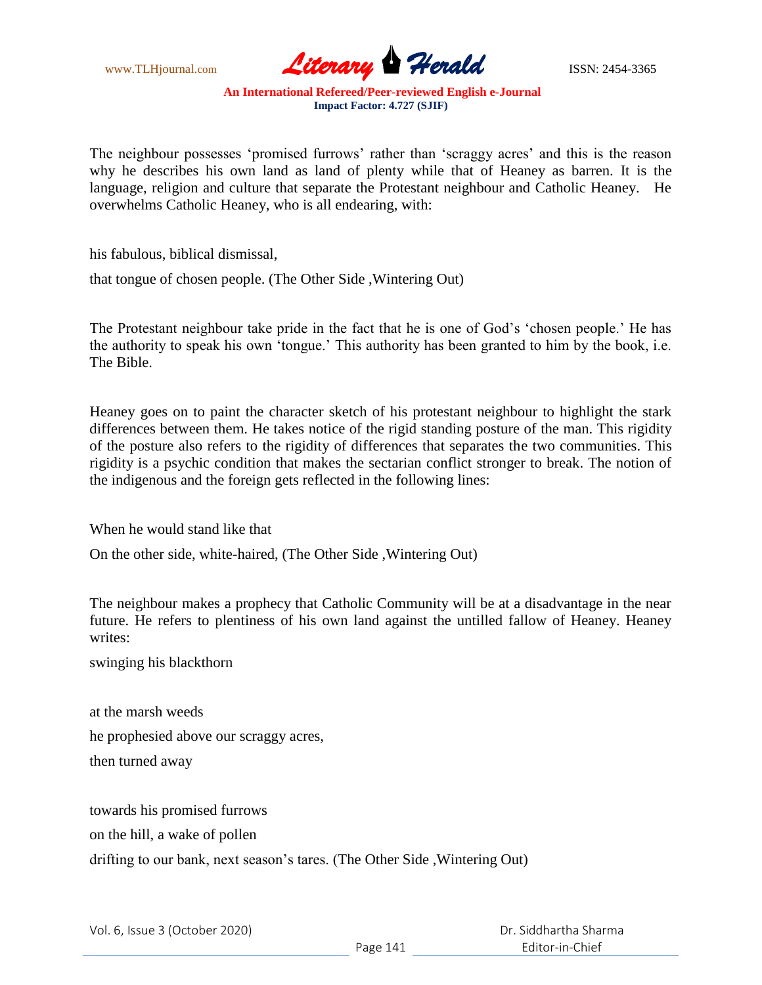

The neighbour possesses 'promised furrows' rather than 'scraggy acres' and this is the reason why he describes his own land as land of plenty while that of Heaney as barren. It is the language, religion and culture that separate the Protestant neighbour and Catholic Heaney. He overwhelms Catholic Heaney, who is all endearing, with:

his fabulous, biblical dismissal,

that tongue of chosen people. (The Other Side ,Wintering Out)

The Protestant neighbour take pride in the fact that he is one of God's 'chosen people.' He has the authority to speak his own "tongue." This authority has been granted to him by the book, i.e. The Bible.

Heaney goes on to paint the character sketch of his protestant neighbour to highlight the stark differences between them. He takes notice of the rigid standing posture of the man. This rigidity of the posture also refers to the rigidity of differences that separates the two communities. This rigidity is a psychic condition that makes the sectarian conflict stronger to break. The notion of the indigenous and the foreign gets reflected in the following lines:

When he would stand like that

On the other side, white-haired, (The Other Side ,Wintering Out)

The neighbour makes a prophecy that Catholic Community will be at a disadvantage in the near future. He refers to plentiness of his own land against the untilled fallow of Heaney. Heaney writes:

swinging his blackthorn

at the marsh weeds he prophesied above our scraggy acres, then turned away

towards his promised furrows

on the hill, a wake of pollen

drifting to our bank, next season's tares. (The Other Side, Wintering Out)

 Dr. Siddhartha Sharma Editor-in-Chief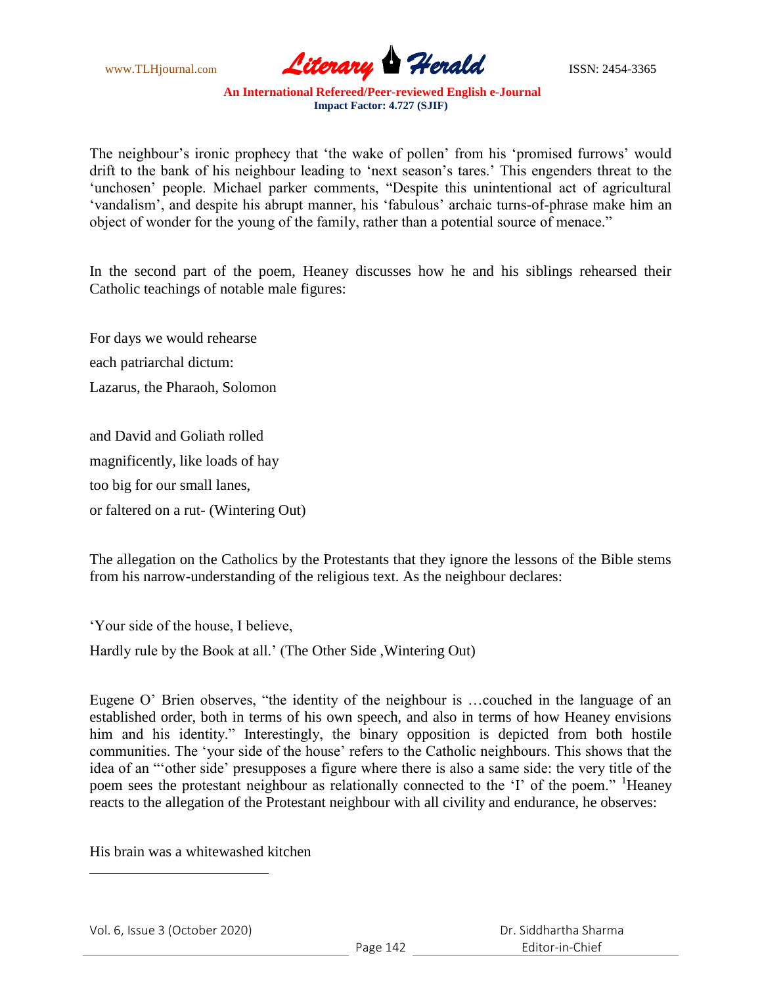www.TLHjournal.com **Literary Herald** ISSN: 2454-3365

The neighbour's ironic prophecy that 'the wake of pollen' from his 'promised furrows' would drift to the bank of his neighbour leading to 'next season's tares.' This engenders threat to the 'unchosen' people. Michael parker comments, "Despite this unintentional act of agricultural 'vandalism', and despite his abrupt manner, his 'fabulous' archaic turns-of-phrase make him an object of wonder for the young of the family, rather than a potential source of menace."

In the second part of the poem, Heaney discusses how he and his siblings rehearsed their Catholic teachings of notable male figures:

For days we would rehearse each patriarchal dictum: Lazarus, the Pharaoh, Solomon

and David and Goliath rolled magnificently, like loads of hay too big for our small lanes, or faltered on a rut- (Wintering Out)

The allegation on the Catholics by the Protestants that they ignore the lessons of the Bible stems from his narrow-understanding of the religious text. As the neighbour declares:

"Your side of the house, I believe,

Hardly rule by the Book at all." (The Other Side ,Wintering Out)

Eugene O" Brien observes, "the identity of the neighbour is …couched in the language of an established order, both in terms of his own speech, and also in terms of how Heaney envisions him and his identity." Interestingly, the binary opposition is depicted from both hostile communities. The "your side of the house" refers to the Catholic neighbours. This shows that the idea of an ""other side" presupposes a figure where there is also a same side: the very title of the poem sees the protestant neighbour as relationally connected to the 'I' of the poem." <sup>1</sup>Heaney reacts to the allegation of the Protestant neighbour with all civility and endurance, he observes:

His brain was a whitewashed kitchen

 $\overline{\phantom{a}}$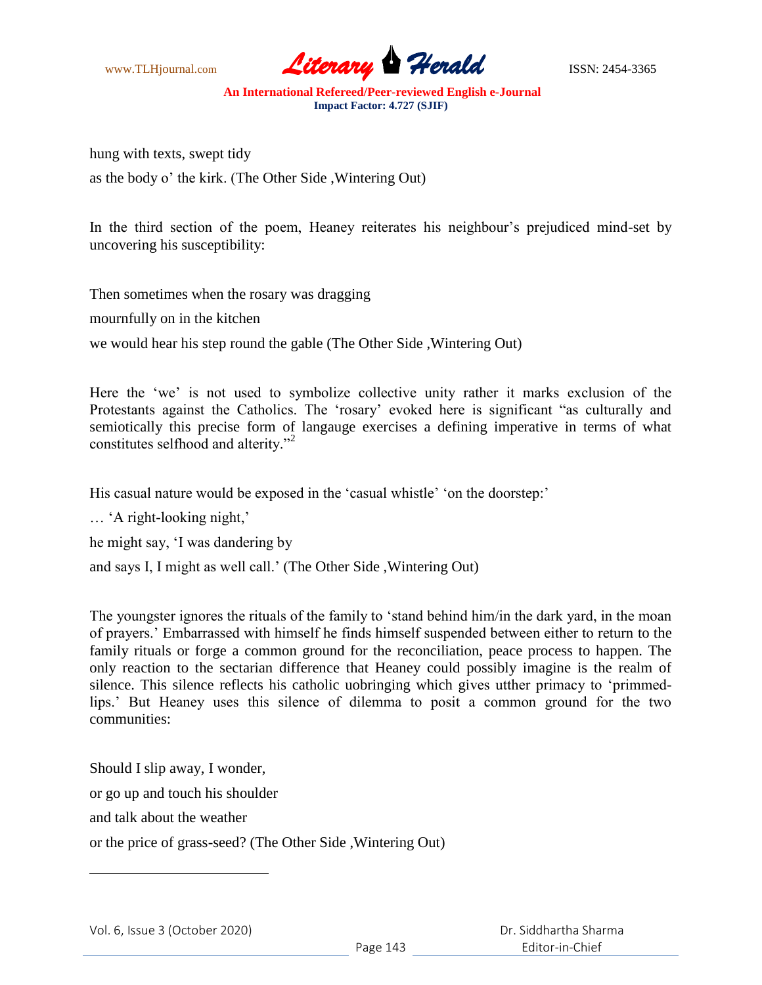

hung with texts, swept tidy as the body o" the kirk. (The Other Side ,Wintering Out)

In the third section of the poem, Heaney reiterates his neighbour's prejudiced mind-set by uncovering his susceptibility:

Then sometimes when the rosary was dragging

mournfully on in the kitchen

we would hear his step round the gable (The Other Side ,Wintering Out)

Here the 'we' is not used to symbolize collective unity rather it marks exclusion of the Protestants against the Catholics. The "rosary" evoked here is significant "as culturally and semiotically this precise form of langauge exercises a defining imperative in terms of what constitutes selfhood and alterity."<sup>2</sup>

His casual nature would be exposed in the 'casual whistle' 'on the doorstep:'

... 'A right-looking night,'

he might say, "I was dandering by

and says I, I might as well call." (The Other Side ,Wintering Out)

The youngster ignores the rituals of the family to "stand behind him/in the dark yard, in the moan of prayers." Embarrassed with himself he finds himself suspended between either to return to the family rituals or forge a common ground for the reconciliation, peace process to happen. The only reaction to the sectarian difference that Heaney could possibly imagine is the realm of silence. This silence reflects his catholic uobringing which gives utther primacy to "primmedlips." But Heaney uses this silence of dilemma to posit a common ground for the two communities:

Should I slip away, I wonder, or go up and touch his shoulder and talk about the weather or the price of grass-seed? (The Other Side ,Wintering Out)

 $\overline{\phantom{a}}$